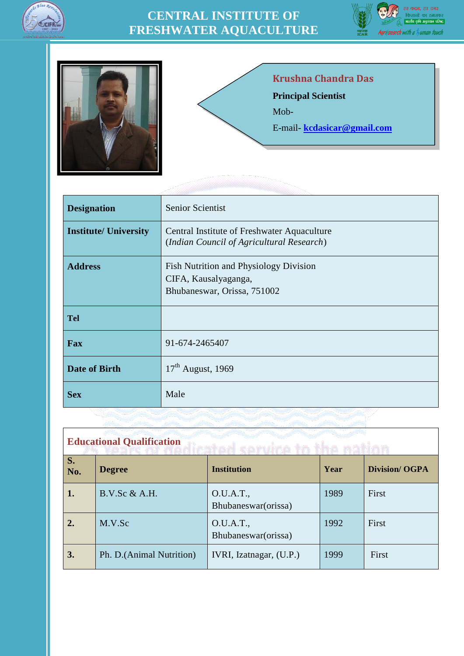

## **CENTRAL INSTITUTE OF FRESHWATER AQUACULTURE**





## **Krushna Chandra Das Principal Scientist** Mob-E-mail- **[kcdasicar@gmail.com](mailto:kcdasicar@gmail.com)**

| <b>Designation</b>           | Senior Scientist                                                                              |
|------------------------------|-----------------------------------------------------------------------------------------------|
| <b>Institute/ University</b> | Central Institute of Freshwater Aquaculture<br>(Indian Council of Agricultural Research)      |
| <b>Address</b>               | Fish Nutrition and Physiology Division<br>CIFA, Kausalyaganga,<br>Bhubaneswar, Orissa, 751002 |
| <b>Tel</b>                   |                                                                                               |
| Fax                          | 91-674-2465407                                                                                |
| <b>Date of Birth</b>         | $17th$ August, 1969                                                                           |
| <b>Sex</b>                   | Male                                                                                          |

| <b>Educational Qualification</b> |                           |                                   |      |                      |
|----------------------------------|---------------------------|-----------------------------------|------|----------------------|
| S.<br>No.                        | <b>Degree</b>             | <b>Institution</b>                | Year | <b>Division/OGPA</b> |
| 1.                               | B.V.Sc & A.H.             | O.U.A.T.,<br>Bhubaneswar (orissa) | 1989 | First                |
| 2.                               | M.V.Sc                    | O.U.A.T.,<br>Bhubaneswar (orissa) | 1992 | First                |
| 3.                               | Ph. D. (Animal Nutrition) | IVRI, Izatnagar, (U.P.)           | 1999 | First                |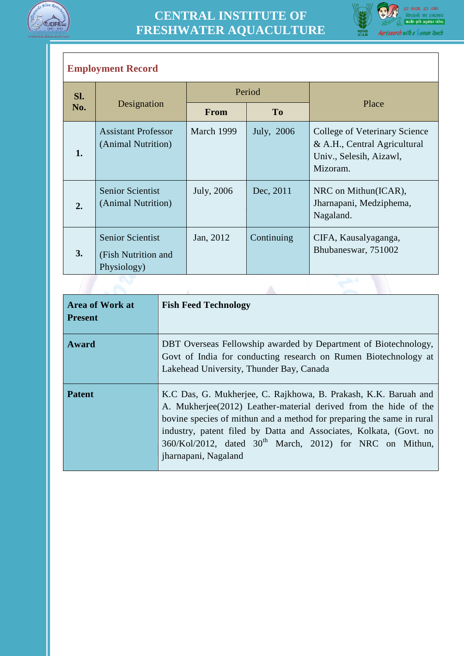



## **Employment Record**

| Sl. | Designation                                                   | Period      |            |                                                                                                      |  |
|-----|---------------------------------------------------------------|-------------|------------|------------------------------------------------------------------------------------------------------|--|
| No. |                                                               | <b>From</b> | <b>To</b>  | Place                                                                                                |  |
| 1.  | <b>Assistant Professor</b><br>(Animal Nutrition)              | March 1999  | July, 2006 | College of Veterinary Science<br>& A.H., Central Agricultural<br>Univ., Selesih, Aizawl,<br>Mizoram. |  |
| 2.  | <b>Senior Scientist</b><br>(Animal Nutrition)                 | July, 2006  | Dec, 2011  | NRC on Mithun(ICAR),<br>Jharnapani, Medziphema,<br>Nagaland.                                         |  |
| 3.  | <b>Senior Scientist</b><br>(Fish Nutrition and<br>Physiology) | Jan, 2012   | Continuing | CIFA, Kausalyaganga,<br>Bhubaneswar, 751002                                                          |  |
|     |                                                               |             |            |                                                                                                      |  |

| <b>Area of Work at</b><br><b>Present</b> | <b>Fish Feed Technology</b>                                                                                                                                                                                                                                                                                                                                                 |
|------------------------------------------|-----------------------------------------------------------------------------------------------------------------------------------------------------------------------------------------------------------------------------------------------------------------------------------------------------------------------------------------------------------------------------|
| Award                                    | DBT Overseas Fellowship awarded by Department of Biotechnology,<br>Govt of India for conducting research on Rumen Biotechnology at<br>Lakehead University, Thunder Bay, Canada                                                                                                                                                                                              |
| <b>Patent</b>                            | K.C Das, G. Mukherjee, C. Rajkhowa, B. Prakash, K.K. Baruah and<br>A. Mukherjee(2012) Leather-material derived from the hide of the<br>bovine species of mithun and a method for preparing the same in rural<br>industry, patent filed by Datta and Associates, Kolkata, (Govt. no<br>$360/Kol/2012$ , dated $30th$ March, 2012) for NRC on Mithun,<br>jharnapani, Nagaland |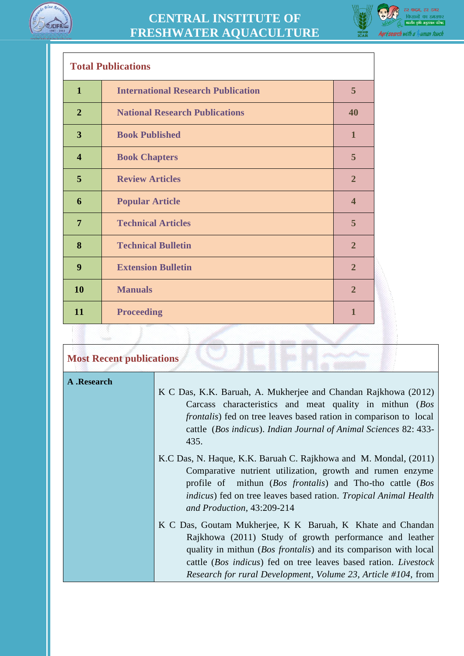



٦

| <b>Total Publications</b> |                                           |                |
|---------------------------|-------------------------------------------|----------------|
| $\mathbf{1}$              | <b>International Research Publication</b> | 5              |
| $\overline{2}$            | <b>National Research Publications</b>     | 40             |
| 3                         | <b>Book Published</b>                     | $\mathbf{1}$   |
| $\overline{\mathbf{4}}$   | <b>Book Chapters</b>                      | 5              |
| 5                         | <b>Review Articles</b>                    | $\overline{2}$ |
| 6                         | <b>Popular Article</b>                    | $\overline{4}$ |
| $\overline{7}$            | <b>Technical Articles</b>                 | 5              |
| 8                         | <b>Technical Bulletin</b>                 | $\overline{2}$ |
| 9                         | <b>Extension Bulletin</b>                 | $\overline{2}$ |
| 10                        | <b>Manuals</b>                            | $\overline{2}$ |
| 11                        | <b>Proceeding</b>                         | $\mathbf{1}$   |
|                           |                                           |                |

| <b>Most Recent publications</b> |                                                                                                                                                                                                                                                                                                                                              |  |
|---------------------------------|----------------------------------------------------------------------------------------------------------------------------------------------------------------------------------------------------------------------------------------------------------------------------------------------------------------------------------------------|--|
| A .Research                     | K C Das, K.K. Baruah, A. Mukherjee and Chandan Rajkhowa (2012)<br>Carcass characteristics and meat quality in mithun (Bos<br><i>frontalis</i> ) fed on tree leaves based ration in comparison to local<br>cattle (Bos indicus). Indian Journal of Animal Sciences 82: 433-<br>435.                                                           |  |
|                                 | K.C Das, N. Haque, K.K. Baruah C. Rajkhowa and M. Mondal, (2011)<br>Comparative nutrient utilization, growth and rumen enzyme<br>profile of mithun ( <i>Bos frontalis</i> ) and Tho-tho cattle ( <i>Bos</i><br><i>indicus</i> ) fed on tree leaves based ration. <i>Tropical Animal Health</i><br>and Production, 43:209-214                 |  |
|                                 | K C Das, Goutam Mukherjee, K K Baruah, K Khate and Chandan<br>Rajkhowa (2011) Study of growth performance and leather<br>quality in mithun ( <i>Bos frontalis</i> ) and its comparison with local<br>cattle (Bos indicus) fed on tree leaves based ration. Livestock<br><i>Research for rural Development, Volume 23, Article #104, from</i> |  |